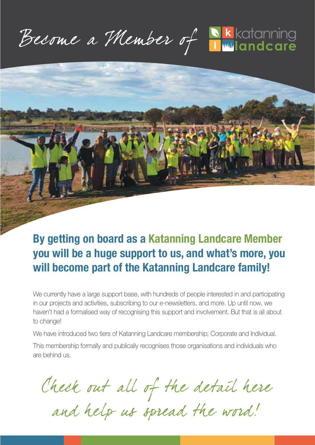Become a Member of Nkkotonning



## **By getting on board as a Katanning Landcare Member you will be a huge support to us, and what's more, you will become part of the Katanning Landcare family!**

We currently have a large support base, with hundreds of people interested in and participating in our projects and activities, subscribing to our e-newsletters, and more. Up until now, we haven't had a formalised way of recognising this support and involvement. But that is all about to change!

We have introduced two tiers of Katanning Landcare membership; Corporate and Individual.

This membership formally and publically recognises those organisations and individuals who are behind us.

Check out all of the detail here

and help us spread the word!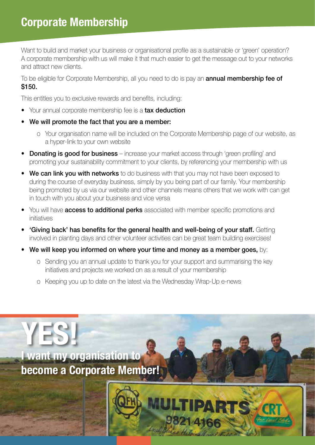Want to build and market your business or organisational profile as a sustainable or 'green' operation? A corporate membership with us will make it that much easier to get the message out to your networks and attract new clients.

To be eligible for Corporate Membership, all you need to do is pay an **annual membership fee of** \$150.

This entitles you to exclusive rewards and benefits, including:

- Your annual corporate membership fee is a tax deduction
- We will promote the fact that you are a member:
	- o Your organisation name will be included on the Corporate Membership page of our website, as a hyper-link to your own website
- Donating is good for business increase your market access through 'green profiling' and promoting your sustainability commitment to your clients, by referencing your membership with us
- We can link you with networks to do business with that you may not have been exposed to during the course of everyday business, simply by you being part of our family. Your membership being promoted by us via our website and other channels means others that we work with can get in touch with you about your business and vice versa
- You will have **access to additional perks** associated with member specific promotions and initiatives
- 'Giving back' has benefits for the general health and well-being of your staff. Getting involved in planting days and other volunteer activities can be great team building exercises!
- We will keep you informed on where your time and money as a member goes, by:
	- o Sending you an annual update to thank you for your support and summarising the key initiatives and projects we worked on as a result of your membership
	- o Keeping you up to date on the latest via the Wednesday Wrap-Up e-news

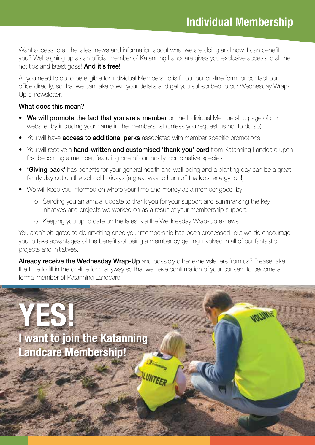normu

Want access to all the latest news and information about what we are doing and how it can benefit you? Well signing up as an official member of Katanning Landcare gives you exclusive access to all the hot tips and latest goss! **And it's free!** 

All you need to do to be eligible for Individual Membership is fill out our on-line form, or contact our office directly, so that we can take down your details and get you subscribed to our Wednesday Wrap-Up e-newsletter.

#### What does this mean?

- We will promote the fact that you are a member on the Individual Membership page of our website, by including your name in the members list (unless you request us not to do so)
- You will have **access to additional perks** associated with member specific promotions
- You will receive a hand-written and customised 'thank you' card from Katanning Landcare upon first becoming a member, featuring one of our locally iconic native species
- **'Giving back'** has benefits for your general health and well-being and a planting day can be a great family day out on the school holidays (a great way to burn off the kids' energy too!)
- We will keep you informed on where your time and money as a member goes, by:
	- o Sending you an annual update to thank you for your support and summarising the key initiatives and projects we worked on as a result of your membership support.
	- o Keeping you up to date on the latest via the Wednesday Wrap-Up e-news

You aren't obligated to do anything once your membership has been processed, but we do encourage you to take advantages of the benefits of being a member by getting involved in all of our fantastic projects and initiatives.

Already receive the Wednesday Wrap-Up and possibly other e-newsletters from us? Please take the time to fill in the on-line form anyway so that we have confirmation of your consent to become a formal member of Katanning Landcare.

**YES! I want to join the Katanning Landcare Membership!**